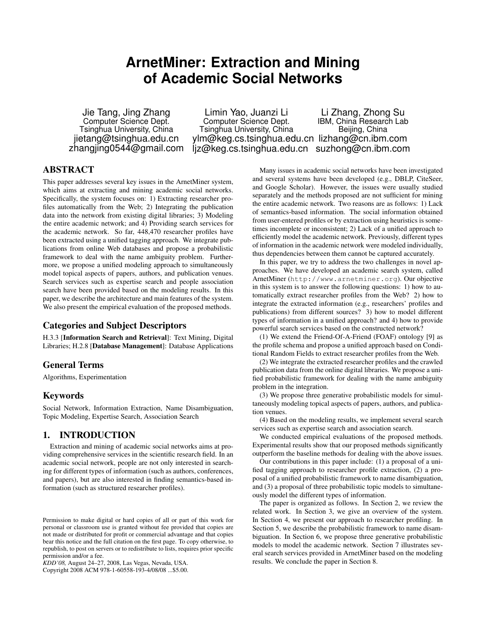# **ArnetMiner: Extraction and Mining of Academic Social Networks**

Jie Tang, Jing Zhang Computer Science Dept. Tsinghua University, China jietang@tsinghua.edu.cn zhangjing0544@gmail.com

Limin Yao, Juanzi Li Computer Science Dept. Tsinghua University, China ylm@keg.cs.tsinghua.edu.cn lizhang@cn.ibm.com ljz@keg.cs.tsinghua.edu.cn suzhong@cn.ibm.com Li Zhang, Zhong Su IBM, China Research Lab Beijing, China

# ABSTRACT

This paper addresses several key issues in the ArnetMiner system, which aims at extracting and mining academic social networks. Specifically, the system focuses on: 1) Extracting researcher profiles automatically from the Web; 2) Integrating the publication data into the network from existing digital libraries; 3) Modeling the entire academic network; and 4) Providing search services for the academic network. So far, 448,470 researcher profiles have been extracted using a unified tagging approach. We integrate publications from online Web databases and propose a probabilistic framework to deal with the name ambiguity problem. Furthermore, we propose a unified modeling approach to simultaneously model topical aspects of papers, authors, and publication venues. Search services such as expertise search and people association search have been provided based on the modeling results. In this paper, we describe the architecture and main features of the system. We also present the empirical evaluation of the proposed methods.

# Categories and Subject Descriptors

H.3.3 [Information Search and Retrieval]: Text Mining, Digital Libraries; H.2.8 [Database Management]: Database Applications

# General Terms

Algorithms, Experimentation

#### Keywords

Social Network, Information Extraction, Name Disambiguation, Topic Modeling, Expertise Search, Association Search

# 1. INTRODUCTION

Extraction and mining of academic social networks aims at providing comprehensive services in the scientific research field. In an academic social network, people are not only interested in searching for different types of information (such as authors, conferences, and papers), but are also interested in finding semantics-based information (such as structured researcher profiles).

Copyright 2008 ACM 978-1-60558-193-4/08/08 ...\$5.00.

Many issues in academic social networks have been investigated and several systems have been developed (e.g., DBLP, CiteSeer, and Google Scholar). However, the issues were usually studied separately and the methods proposed are not sufficient for mining the entire academic network. Two reasons are as follows: 1) Lack of semantics-based information. The social information obtained from user-entered profiles or by extraction using heuristics is sometimes incomplete or inconsistent; 2) Lack of a unified approach to efficiently model the academic network. Previously, different types of information in the academic network were modeled individually, thus dependencies between them cannot be captured accurately.

In this paper, we try to address the two challenges in novel approaches. We have developed an academic search system, called ArnetMiner (http://www.arnetminer.org). Our objective in this system is to answer the following questions: 1) how to automatically extract researcher profiles from the Web? 2) how to integrate the extracted information (e.g., researchers' profiles and publications) from different sources? 3) how to model different types of information in a unified approach? and 4) how to provide powerful search services based on the constructed network?

(1) We extend the Friend-Of-A-Friend (FOAF) ontology [9] as the profile schema and propose a unified approach based on Conditional Random Fields to extract researcher profiles from the Web.

(2) We integrate the extracted researcher profiles and the crawled publication data from the online digital libraries. We propose a unified probabilistic framework for dealing with the name ambiguity problem in the integration.

(3) We propose three generative probabilistic models for simultaneously modeling topical aspects of papers, authors, and publication venues.

(4) Based on the modeling results, we implement several search services such as expertise search and association search.

We conducted empirical evaluations of the proposed methods. Experimental results show that our proposed methods significantly outperform the baseline methods for dealing with the above issues.

Our contributions in this paper include: (1) a proposal of a unified tagging approach to researcher profile extraction, (2) a proposal of a unified probabilistic framework to name disambiguation, and (3) a proposal of three probabilistic topic models to simultaneously model the different types of information.

The paper is organized as follows. In Section 2, we review the related work. In Section 3, we give an overview of the system. In Section 4, we present our approach to researcher profiling. In Section 5, we describe the probabilistic framework to name disambiguation. In Section 6, we propose three generative probabilistic models to model the academic network. Section 7 illustrates several search services provided in ArnetMiner based on the modeling results. We conclude the paper in Section 8.

Permission to make digital or hard copies of all or part of this work for personal or classroom use is granted without fee provided that copies are not made or distributed for profit or commercial advantage and that copies bear this notice and the full citation on the first page. To copy otherwise, to republish, to post on servers or to redistribute to lists, requires prior specific permission and/or a fee.

*KDD'08,* August 24–27, 2008, Las Vegas, Nevada, USA.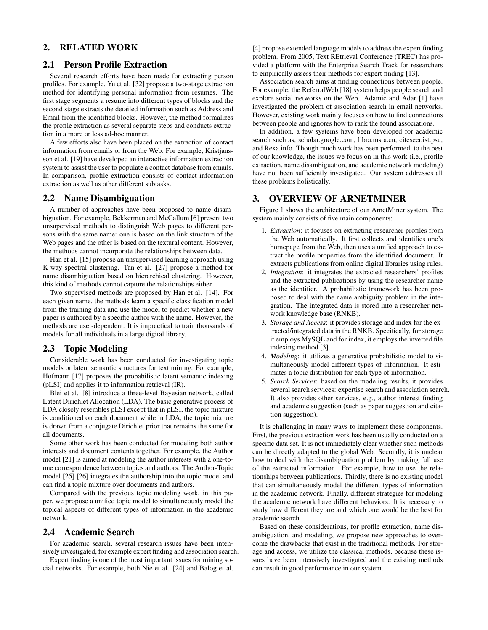# 2. RELATED WORK

## 2.1 Person Profile Extraction

Several research efforts have been made for extracting person profiles. For example, Yu et al. [32] propose a two-stage extraction method for identifying personal information from resumes. The first stage segments a resume into different types of blocks and the second stage extracts the detailed information such as Address and Email from the identified blocks. However, the method formalizes the profile extraction as several separate steps and conducts extraction in a more or less ad-hoc manner.

A few efforts also have been placed on the extraction of contact information from emails or from the Web. For example, Kristjansson et al. [19] have developed an interactive information extraction system to assist the user to populate a contact database from emails. In comparison, profile extraction consists of contact information extraction as well as other different subtasks.

#### 2.2 Name Disambiguation

A number of approaches have been proposed to name disambiguation. For example, Bekkerman and McCallum [6] present two unsupervised methods to distinguish Web pages to different persons with the same name: one is based on the link structure of the Web pages and the other is based on the textural content. However, the methods cannot incorporate the relationships between data.

Han et al. [15] propose an unsupervised learning approach using K-way spectral clustering. Tan et al. [27] propose a method for name disambiguation based on hierarchical clustering. However, this kind of methods cannot capture the relationships either.

Two supervised methods are proposed by Han et al. [14]. For each given name, the methods learn a specific classification model from the training data and use the model to predict whether a new paper is authored by a specific author with the name. However, the methods are user-dependent. It is impractical to train thousands of models for all individuals in a large digital library.

#### 2.3 Topic Modeling

Considerable work has been conducted for investigating topic models or latent semantic structures for text mining. For example, Hofmann [17] proposes the probabilistic latent semantic indexing (pLSI) and applies it to information retrieval (IR).

Blei et al. [8] introduce a three-level Bayesian network, called Latent Dirichlet Allocation (LDA). The basic generative process of LDA closely resembles pLSI except that in pLSI, the topic mixture is conditioned on each document while in LDA, the topic mixture is drawn from a conjugate Dirichlet prior that remains the same for all documents.

Some other work has been conducted for modeling both author interests and document contents together. For example, the Author model [21] is aimed at modeling the author interests with a one-toone correspondence between topics and authors. The Author-Topic model [25] [26] integrates the authorship into the topic model and can find a topic mixture over documents and authors.

Compared with the previous topic modeling work, in this paper, we propose a unified topic model to simultaneously model the topical aspects of different types of information in the academic network.

# 2.4 Academic Search

For academic search, several research issues have been intensively investigated, for example expert finding and association search.

Expert finding is one of the most important issues for mining social networks. For example, both Nie et al. [24] and Balog et al. [4] propose extended language models to address the expert finding problem. From 2005, Text REtrieval Conference (TREC) has provided a platform with the Enterprise Search Track for researchers to empirically assess their methods for expert finding [13].

Association search aims at finding connections between people. For example, the ReferralWeb [18] system helps people search and explore social networks on the Web. Adamic and Adar [1] have investigated the problem of association search in email networks. However, existing work mainly focuses on how to find connections between people and ignores how to rank the found associations.

In addition, a few systems have been developed for academic search such as, scholar.google.com, libra.msra.cn, citeseer.ist.psu, and Rexa.info. Though much work has been performed, to the best of our knowledge, the issues we focus on in this work (i.e., profile extraction, name disambiguation, and academic network modeling) have not been sufficiently investigated. Our system addresses all these problems holistically.

#### 3. OVERVIEW OF ARNETMINER

Figure 1 shows the architecture of our ArnetMiner system. The system mainly consists of five main components:

- 1. *Extraction*: it focuses on extracting researcher profiles from the Web automatically. It first collects and identifies one's homepage from the Web, then uses a unified approach to extract the profile properties from the identified document. It extracts publications from online digital libraries using rules.
- 2. *Integration*: it integrates the extracted researchers' profiles and the extracted publications by using the researcher name as the identifier. A probabilistic framework has been proposed to deal with the name ambiguity problem in the integration. The integrated data is stored into a researcher network knowledge base (RNKB).
- 3. *Storage and Access*: it provides storage and index for the extracted/integrated data in the RNKB. Specifically, for storage it employs MySQL and for index, it employs the inverted file indexing method [3].
- 4. *Modeling*: it utilizes a generative probabilistic model to simultaneously model different types of information. It estimates a topic distribution for each type of information.
- 5. *Search Services*: based on the modeling results, it provides several search services: expertise search and association search. It also provides other services, e.g., author interest finding and academic suggestion (such as paper suggestion and citation suggestion).

It is challenging in many ways to implement these components. First, the previous extraction work has been usually conducted on a specific data set. It is not immediately clear whether such methods can be directly adapted to the global Web. Secondly, it is unclear how to deal with the disambiguation problem by making full use of the extracted information. For example, how to use the relationships between publications. Thirdly, there is no existing model that can simultaneously model the different types of information in the academic network. Finally, different strategies for modeling the academic network have different behaviors. It is necessary to study how different they are and which one would be the best for academic search.

Based on these considerations, for profile extraction, name disambiguation, and modeling, we propose new approaches to overcome the drawbacks that exist in the traditional methods. For storage and access, we utilize the classical methods, because these issues have been intensively investigated and the existing methods can result in good performance in our system.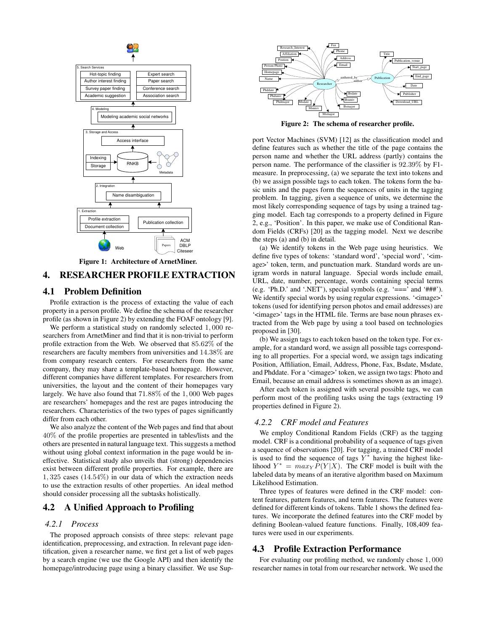

Figure 1: Architecture of ArnetMiner.

# 4. RESEARCHER PROFILE EXTRACTION

#### 4.1 Problem Definition

Profile extraction is the process of extacting the value of each property in a person profile. We define the schema of the researcher profile (as shown in Figure 2) by extending the FOAF ontology [9].

We perform a statistical study on randomly selected 1,000 researchers from ArnetMiner and find that it is non-trivial to perform profile extraction from the Web. We observed that 85.62% of the researchers are faculty members from universities and 14.38% are from company research centers. For researchers from the same company, they may share a template-based homepage. However, different companies have different templates. For researchers from universities, the layout and the content of their homepages vary largely. We have also found that 71.88% of the 1, 000 Web pages are researchers' homepages and the rest are pages introducing the researchers. Characteristics of the two types of pages significantly differ from each other.

We also analyze the content of the Web pages and find that about 40% of the profile properties are presented in tables/lists and the others are presented in natural language text. This suggests a method without using global context information in the page would be ineffective. Statistical study also unveils that (strong) dependencies exist between different profile properties. For example, there are 1, 325 cases (14.54%) in our data of which the extraction needs to use the extraction results of other properties. An ideal method should consider processing all the subtasks holistically.

# 4.2 A Unified Approach to Profiling

#### *4.2.1 Process*

The proposed approach consists of three steps: relevant page identification, preprocessing, and extraction. In relevant page identification, given a researcher name, we first get a list of web pages by a search engine (we use the Google API) and then identify the



Figure 2: The schema of researcher profile.

port Vector Machines (SVM) [12] as the classification model and define features such as whether the title of the page contains the person name and whether the URL address (partly) contains the person name. The performance of the classifier is 92.39% by F1 measure. In preprocessing, (a) we separate the text into tokens and (b) we assign possible tags to each token. The tokens form the basic units and the pages form the sequences of units in the tagging problem. In tagging, given a sequence of units, we determine the most likely corresponding sequence of tags by using a trained tagging model. Each tag corresponds to a property defined in Figure 2, e.g., 'Position'. In this paper, we make use of Conditional Random Fields (CRFs) [20] as the tagging model. Next we describe the steps (a) and (b) in detail.

(a) We identify tokens in the Web page using heuristics. We define five types of tokens: 'standard word', 'special word', '<image>' token, term, and punctuation mark. Standard words are unigram words in natural language. Special words include email, URL, date, number, percentage, words containing special terms (e.g. 'Ph.D.' and '.NET'), special symbols (e.g. '===' and '###'). We identify special words by using regular expressions. '<image>' tokens (used for identifying person photos and email addresses) are '<image>' tags in the HTML file. Terms are base noun phrases extracted from the Web page by using a tool based on technologies proposed in [30].

(b) We assign tags to each token based on the token type. For example, for a standard word, we assign all possible tags corresponding to all properties. For a special word, we assign tags indicating Position, Affiliation, Email, Address, Phone, Fax, Bsdate, Msdate, and Phddate. For a '<image>' token, we assign two tags: Photo and Email, because an email address is sometimes shown as an image).

After each token is assigned with several possible tags, we can perform most of the profiling tasks using the tags (extracting 19 properties defined in Figure 2).

#### *4.2.2 CRF model and Features*

We employ Conditional Random Fields (CRF) as the tagging model. CRF is a conditional probability of a sequence of tags given a sequence of observations [20]. For tagging, a trained CRF model is used to find the sequence of tags  $Y^*$  having the highest likelihood  $Y^* = max_Y P(Y|X)$ . The CRF model is built with the labeled data by means of an iterative algorithm based on Maximum Likelihood Estimation.

Three types of features were defined in the CRF model: content features, pattern features, and term features. The features were defined for different kinds of tokens. Table 1 shows the defined features. We incorporate the defined features into the CRF model by defining Boolean-valued feature functions. Finally, 108,409 features were used in our experiments.

#### 4.3 Profile Extraction Performance

For evaluating our profiling method, we randomly chose 1, 000 researcher names in total from our researcher network. We used the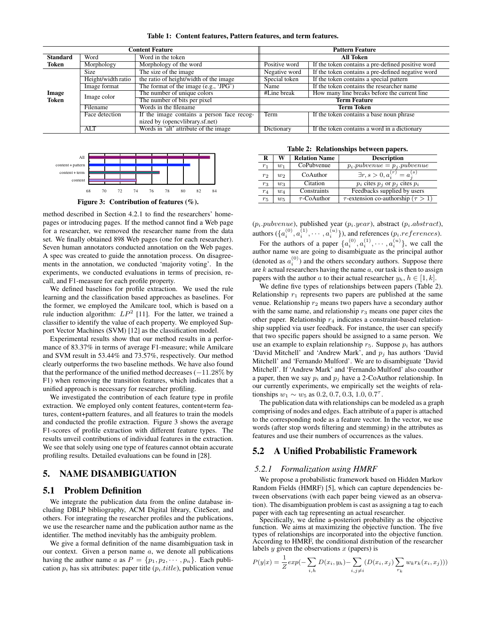|                 |                           | <b>Content Feature</b>                     | <b>Pattern Feature</b> |                                                   |  |  |
|-----------------|---------------------------|--------------------------------------------|------------------------|---------------------------------------------------|--|--|
| <b>Standard</b> | Word<br>Word in the token |                                            | <b>All Token</b>       |                                                   |  |  |
| Token           | Morphology                | Morphology of the word                     | Positive word          | If the token contains a pre-defined positive word |  |  |
|                 | Size                      | The size of the image                      | Negative word          | If the token contains a pre-defined negative word |  |  |
|                 | Height/width ratio        | the ratio of height/width of the image     | Special token          | If the token contains a special pattern           |  |  |
|                 | Image format              | The format of the image (e.g., 'JPG')      | Name                   | If the token contains the researcher name         |  |  |
| Image           | Image color               | The number of unique colors                | #Line break            | How many line breaks before the current line      |  |  |
| Token           |                           | The number of bits per pixel               | Term Feature           |                                                   |  |  |
|                 | Filename                  | Words in the filename                      |                        | Term Token                                        |  |  |
| Face detection  |                           | If the image contains a person face recog- | Term                   | If the token contains a base noun phrase          |  |  |
|                 |                           | nized by (opencylibrary.sf.net)            |                        |                                                   |  |  |
|                 | ALT                       | Words in 'alt' attribute of the image      | Dictionary             | If the token contains a word in a dictionary      |  |  |

Table 1: Content features, Pattern features, and term features.





method described in Section 4.2.1 to find the researchers' homepages or introducing pages. If the method cannot find a Web page for a researcher, we removed the researcher name from the data set. We finally obtained 898 Web pages (one for each researcher). Seven human annotators conducted annotation on the Web pages. A spec was created to guide the annotation process. On disagreements in the annotation, we conducted 'majority voting'. In the experiments, we conducted evaluations in terms of precision, recall, and F1-measure for each profile property.

We defined baselines for profile extraction. We used the rule learning and the classification based approaches as baselines. For the former, we employed the Amilcare tool, which is based on a rule induction algorithm:  $LP^2$  [11]. For the latter, we trained a classifier to identify the value of each property. We employed Support Vector Machines (SVM) [12] as the classification model.

Experimental results show that our method results in a performance of 83.37% in terms of average F1-measure; while Amilcare and SVM result in 53.44% and 73.57%, respectively. Our method clearly outperforms the two baseline methods. We have also found that the performance of the unified method decreases  $(-11.28\%$  by F1) when removing the transition features, which indicates that a unified approach is necessary for researcher profiling.

We investigated the contribution of each feature type in profile extraction. We employed only content features, content+term features, content+pattern features, and all features to train the models and conducted the profile extraction. Figure 3 shows the average F1-scores of profile extraction with different feature types. The results unveil contributions of individual features in the extraction. We see that solely using one type of features cannot obtain accurate profiling results. Detailed evaluations can be found in [28].

#### 5. NAME DISAMBIGUATION

#### 5.1 Problem Definition

We integrate the publication data from the online database including DBLP bibliography, ACM Digital library, CiteSeer, and others. For integrating the researcher profiles and the publications, we use the researcher name and the publication author name as the identifier. The method inevitably has the ambiguity problem.

We give a formal definition of the name disambiguation task in our context. Given a person name  $a$ , we denote all publications having the author name a as  $P = \{p_1, p_2, \dots, p_n\}$ . Each publication  $p_i$  has six attributes: paper title  $(p_i.title)$ , publication venue

Table 2: Relationships between papers.

| R              | W     | <b>Relation Name</b> | <b>Description</b>                             |
|----------------|-------|----------------------|------------------------------------------------|
| $r_1$          | $w_1$ | CoPubvenue           | $p_i$ . pubvenue = $p_i$ . pubvenue            |
| r <sub>2</sub> | $w_2$ | CoAuthor             | $\exists r, s > 0, a_i^{(r)} = a_i^{(s)}$      |
| $r_3$          | $w_3$ | Citation             | $p_i$ cites $p_i$ or $p_i$ cites $p_i$         |
| $r_4$          | $w_4$ | Constraints          | Feedbacks supplied by users                    |
| $r_5$          | $w_5$ | $\tau$ -CoAuthor     | $\tau$ -extension co-authorship ( $\tau > 1$ ) |

 $(p_i.public)$ , published year  $(p_i.year)$ , abstract  $(p_i.abstract)$ , authors  $(\{a_i^{(0)}, a_i^{(1)}, \cdots, a_i^{(u)}\})$ , and references  $(p_i \text{.} references)$ .

For the authors of a paper  $\{a_i^{(0)}, a_i^{(1)}, \cdots, a_i^{(u)}\}$ , we call the author name we are going to disambiguate as the principal author (denoted as  $a_i^{(0)}$ ) and the others secondary authors. Suppose there are  $k$  actual researchers having the name  $a$ , our task is then to assign papers with the author a to their actual researcher  $y_h$ ,  $h \in [1, k]$ .

We define five types of relationships between papers (Table 2). Relationship  $r_1$  represents two papers are published at the same venue. Relationship  $r_2$  means two papers have a secondary author with the same name, and relationship  $r_3$  means one paper cites the other paper. Relationship  $r_4$  indicates a constraint-based relationship supplied via user feedback. For instance, the user can specify that two specific papers should be assigned to a same person. We use an example to explain relationship  $r_5$ . Suppose  $p_i$  has authors 'David Mitchell' and 'Andrew Mark', and  $p_j$  has authors 'David Mitchell' and 'Fernando Mulford'. We are to disambiguate 'David Mitchell'. If 'Andrew Mark' and 'Fernando Mulford' also coauthor a paper, then we say  $p_i$  and  $p_j$  have a 2-CoAuthor relationship. In our currently experiments, we empirically set the weights of relationships  $w_1 \sim w_5$  as 0.2, 0.7, 0.3, 1.0, 0.7<sup> $\tau$ </sup>.

The publication data with relationships can be modeled as a graph comprising of nodes and edges. Each attribute of a paper is attached to the corresponding node as a feature vector. In the vector, we use words (after stop words filtering and stemming) in the attributes as features and use their numbers of occurrences as the values.

# 5.2 A Unified Probabilistic Framework

#### *5.2.1 Formalization using HMRF*

We propose a probabilistic framework based on Hidden Markov Random Fields (HMRF) [5], which can capture dependencies between observations (with each paper being viewed as an observation). The disambiguation problem is cast as assigning a tag to each paper with each tag representing an actual researcher.

Specifically, we define a-posteriori probability as the objective function. We aims at maximizing the objective function. The five types of relationships are incorporated into the objective function. According to HMRF, the conditional distribution of the researcher labels  $y$  given the observations  $x$  (papers) is

$$
P(y|x) = \frac{1}{Z} exp(-\sum_{i,h} D(x_i, y_h) - \sum_{i,j \neq i} (D(x_i, x_j) \sum_{r_k} w_k r_k(x_i, x_j)))
$$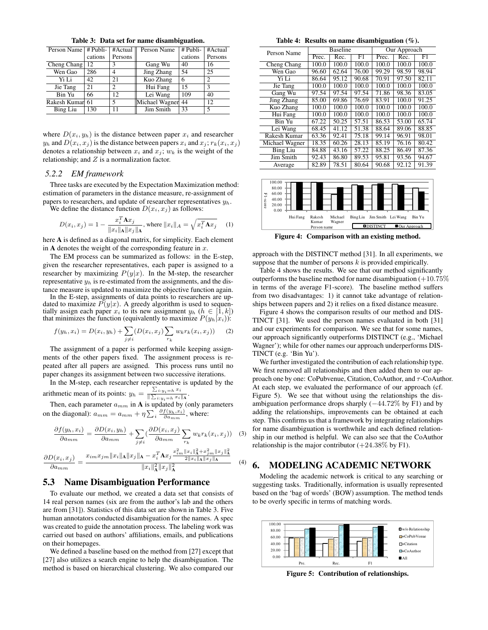Table 3: Data set for name disambiguation.

| Person Name   # Publi- |         | #Actual | Person Name    | $#$ Publi- | #Actual        |
|------------------------|---------|---------|----------------|------------|----------------|
|                        | cations | Persons |                | cations    | Persons        |
| Cheng Chang            | 12      |         | Gang Wu        | 40         | 16             |
| Wen Gao                | 286     |         | Jing Zhang     | 54         | 25             |
| Yi Li                  | 42      | 21      | Kuo Zhang      | 6          | $\overline{c}$ |
| Jie Tang               | 21      | 2       | Hui Fang       | 15         | 3              |
| Bin Yu                 | 66      | 12      | Lei Wang       | 109        | 40             |
| Rakesh Kumar 61        |         | 5       | Michael Wagner | 44         | 12             |
| Bing Liu               | 130     | 11      | Jim Smith      | 33         | 5              |

where  $D(x_i, y_h)$  is the distance between paper  $x_i$  and researcher  $y_h$  and  $D(x_i, x_j)$  is the distance between papers  $x_i$  and  $x_j$ ;  $r_k(x_i, x_j)$ denotes a relationship between  $x_i$  and  $x_j$ ;  $w_k$  is the weight of the relationship; and  $Z$  is a normalization factor.

#### *5.2.2 EM framework*

Three tasks are executed by the Expectation Maximization method: estimation of parameters in the distance measure, re-assignment of papers to researchers, and update of researcher representatives  $y_h$ .

We define the distance function  $D(x_i, x_j)$  as follows:

$$
D(x_i, x_j) = 1 - \frac{x_i^T \mathbf{A} x_j}{\|x_i\| \mathbf{A} \|x_j\| \mathbf{A}}, \text{ where } \|x_i\|_A = \sqrt{x_i^T \mathbf{A} x_j} \quad (1)
$$

here A is defined as a diagonal matrix, for simplicity. Each element in A denotes the weight of the corresponding feature in  $x$ .

The EM process can be summarized as follows: in the E-step, given the researcher representatives, each paper is assigned to a researcher by maximizing  $P(y|x)$ . In the M-step, the researcher representative  $y_h$  is re-estimated from the assignments, and the distance measure is updated to maximize the objective function again.

In the E-step, assignments of data points to researchers are updated to maximize  $P(y|x)$ . A greedy algorithm is used to sequentially assign each paper  $x_i$  to its new assignment  $y_h$   $(h \in [1, k])$ that minimizes the function (equivalently to maximize  $P(y_h|x_i)$ ):

$$
f(y_h, x_i) = D(x_i, y_h) + \sum_{j \neq i} (D(x_i, x_j) \sum_{r_k} w_k r_k(x_i, x_j))
$$
 (2)

The assignment of a paper is performed while keeping assignments of the other papers fixed. The assignment process is repeated after all papers are assigned. This process runs until no paper changes its assignment between two successive iterations.

In the M-step, each researcher representative is updated by the arithmetic mean of its points:  $y_h =$  $\frac{\sum_{i:y_i=h} x_i}{\sum_{i:y_i=h} x_i \parallel A}.$ 

Then, each parameter  $a_{mm}$  in A is updated by (only parameters Then, each parameter  $a_{mm}$  in **A** is a<br>on the diagonal):  $a_{mm} = a_{mm} + \eta \sum$  $\frac{\partial f(y_h, x_i)}{\partial a_{mm}}$ , where:

$$
\frac{\partial f(y_h, x_i)}{\partial a_{mm}} = \frac{\partial D(x_i, y_h)}{\partial a_{mm}} + \sum_{j \neq i} \left( \frac{\partial D(x_i, x_j)}{\partial a_{mm}} \sum_{r_k} w_k r_k(x_i, x_j) \right) \tag{3}
$$

 $\partial D(x_i, x_j)$  $\frac{D(x_i,x_j)}{\partial a_{mm}} = \frac{x_{im}x_{jm}\|x_i\|_{\mathbf{A}}\|x_j\|_{\mathbf{A}} - x_i^T\mathbf{A}x_j\frac{x_{im}^2\|x_i\|_{\mathbf{A}}^2+x_{jm}^2\|x_j\|_{\mathbf{A}}^2}{2\|x_i\|_{\mathbf{A}}\|x_j\|_{\mathbf{A}}^2}$  $||x_i||^2_{\mathbf{A}} ||x_j||^2_{\mathbf{A}}$ 

# 5.3 Name Disambiguation Performance

To evaluate our method, we created a data set that consists of 14 real person names (six are from the author's lab and the others are from [31]). Statistics of this data set are shown in Table 3. Five human annotators conducted disambiguation for the names. A spec was created to guide the annotation process. The labeling work was carried out based on authors' affiliations, emails, and publications on their homepages.

We defined a baseline based on the method from [27] except that [27] also utilizes a search engine to help the disambiguation. The method is based on hierarchical clustering. We also compared our

Table 4: Results on name disambiguation  $(\%).$ 

| Person Name           |        | <b>Baseline</b>    |                 | Our Approach       |       |        |  |  |
|-----------------------|--------|--------------------|-----------------|--------------------|-------|--------|--|--|
|                       | Prec.  | Rec.               | F1              | Prec.              | Rec.  | F1     |  |  |
| Cheng Chang           | 100.0  | 100.0              | 100.0           | 100.0              | 100.0 | 100.0  |  |  |
| Wen Gao               | 96.60  | 62.64              | 76.00           | 99.29              | 98.59 | 98.94  |  |  |
| Yi Li                 | 86.64  | 95.12              | 90.68           | 70.91              | 97.50 | 82.11  |  |  |
| Jie Tang              | 100.0  | 100.0              | 100.0           | 100.0              | 100.0 | 100.0  |  |  |
| Gang Wu               | 97.54  | 97.54              | 97.54           | 71.86              | 98.36 | 83.05  |  |  |
| Jing Zhang            | 85.00  | 69.86              | 76.69           | 83.91              | 100.0 | 91.25  |  |  |
| Kuo Zhang             | 100.0  | 100.0              | 100.0           | 100.0              | 100.0 | 100.0  |  |  |
| Hui Fang              | 100.0  | $\overline{100.0}$ | 100.0           | 100.0              | 100.0 | 100.0  |  |  |
| Bin Yu                | 67.22  | 50.25              | 57.51           | 86.53              | 53.00 | 65.74  |  |  |
| Lei Wang              | 68.45  | 41.12              | 51.38           | 88.64              | 89.06 | 88.85  |  |  |
| <b>Rakesh Kumar</b>   | 63.36  | 92.41              | 75.18           | 99.14              | 96.91 | 98.01  |  |  |
| <b>Michael Wagner</b> | 18.35  | 60.26              | 28.13           | 85.19              | 76.16 | 80.42  |  |  |
| <b>Bing Liu</b>       | 84.88  | 43.16              | 57.22           | 88.25              | 86.49 | 87.36  |  |  |
| Jim Smith             | 92.43  | 86.80              | 89.53           | 95.81              | 93.56 | 94.67  |  |  |
| Average               | 82.89  | 78.51              | 80.64           | 90.68              | 92.12 | 91.39  |  |  |
|                       |        |                    |                 |                    |       |        |  |  |
| 100.00                |        |                    |                 |                    |       |        |  |  |
| 80.00                 |        |                    |                 |                    |       |        |  |  |
| 60.00                 |        |                    | Ħ               |                    |       | È      |  |  |
| F1-score<br>40.00     |        |                    |                 |                    |       |        |  |  |
| 20.00<br>0.00         |        |                    |                 |                    |       |        |  |  |
| Hui Fang              | Rakesh | Michael            | <b>Bing Liu</b> | Jim Smith Lei Wang |       | Bin Yu |  |  |
|                       | Kumar  | Wagner             |                 |                    |       |        |  |  |

Person name DIST Figure 4: Comparison with an existing method.

approach with the DISTINCT method [31]. In all experiments, we suppose that the number of persons  $k$  is provided empirically.

Table 4 shows the results. We see that our method significantly outperforms the baseline method for name disambiguation (+10.75% in terms of the average F1-score). The baseline method suffers from two disadvantages: 1) it cannot take advantage of relationships between papers and 2) it relies on a fixed distance measure.

Figure 4 shows the comparison results of our method and DIS-TINCT [31]. We used the person names evaluated in both [31] and our experiments for comparison. We see that for some names, our approach significantly outperforms DISTINCT (e.g., 'Michael Wagner'); while for other names our approach underperforms DIS-TINCT (e.g. 'Bin Yu').

We further investigated the contribution of each relationship type. We first removed all relationships and then added them to our approach one by one: CoPubvenue, Citation, CoAuthor, and τ -CoAuthor. At each step, we evaluated the performance of our approach (cf. Figure 5). We see that without using the relationships the disambiguation performance drops sharply  $(-44.72\%$  by F1) and by adding the relationships, improvements can be obtained at each step. This confirms us that a framework by integrating relationships for name disambiguation is worthwhile and each defined relationship in our method is helpful. We can also see that the CoAuthor relationship is the major contributor  $(+24.38\%$  by F1).

# 6. MODELING ACADEMIC NETWORK

(4)

Modeling the academic network is critical to any searching or suggesting tasks. Traditionally, information is usually represented based on the 'bag of words' (BOW) assumption. The method tends to be overly specific in terms of matching words.



Figure 5: Contribution of relationships.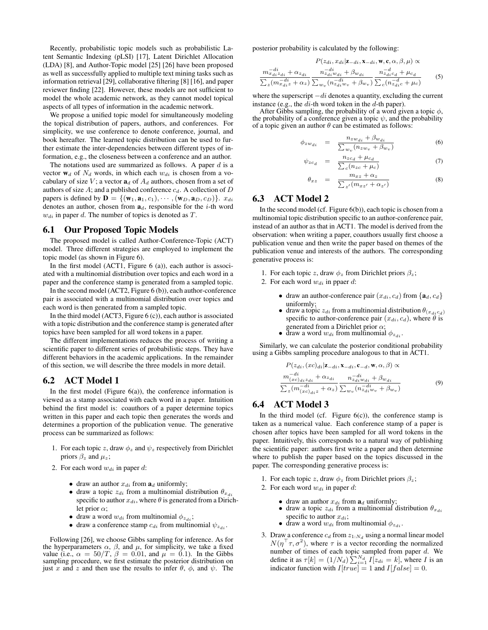Recently, probabilistic topic models such as probabilistic Latent Semantic Indexing (pLSI) [17], Latent Dirichlet Allocation (LDA) [8], and Author-Topic model [25] [26] have been proposed as well as successfully applied to multiple text mining tasks such as information retrieval [29], collaborative filtering [8] [16], and paper reviewer finding [22]. However, these models are not sufficient to model the whole academic network, as they cannot model topical aspects of all types of information in the academic network.

We propose a unified topic model for simultaneously modeling the topical distribution of papers, authors, and conferences. For simplicity, we use conference to denote conference, journal, and book hereafter. The learned topic distribution can be used to further estimate the inter-dependencies between different types of information, e.g., the closeness between a conference and an author.

The notations used are summarized as follows. A paper  $d$  is a vector  $w_d$  of  $N_d$  words, in which each  $w_{di}$  is chosen from a vocabulary of size V; a vector  $\mathbf{a}_d$  of  $A_d$  authors, chosen from a set of authors of size  $A$ ; and a published conference  $c_d$ . A collection of  $D$ papers is defined by  $\mathbf{D} = \{(\mathbf{w}_1, \mathbf{a}_1, c_1), \cdots, (\mathbf{w}_D, \mathbf{a}_D, c_D)\}\$ .  $x_{di}$ denotes an author, chosen from  $a_d$ , responsible for the *i*-th word  $w_{di}$  in paper d. The number of topics is denoted as T.

#### 6.1 Our Proposed Topic Models

The proposed model is called Author-Conference-Topic (ACT) model. Three different strategies are employed to implement the topic model (as shown in Figure 6).

In the first model (ACT1, Figure 6 (a)), each author is associated with a multinomial distribution over topics and each word in a paper and the conference stamp is generated from a sampled topic.

In the second model (ACT2, Figure 6 (b)), each author-conference pair is associated with a multinomial distribution over topics and each word is then generated from a sampled topic.

In the third model (ACT3, Figure 6 (c)), each author is associated with a topic distribution and the conference stamp is generated after topics have been sampled for all word tokens in a paper.

The different implementations reduces the process of writing a scientific paper to different series of probabilistic steps. They have different behaviors in the academic applications. In the remainder of this section, we will describe the three models in more detail.

# 6.2 ACT Model 1

In the first model (Figure  $6(a)$ ), the conference information is viewed as a stamp associated with each word in a paper. Intuition behind the first model is: coauthors of a paper determine topics written in this paper and each topic then generates the words and determines a proportion of the publication venue. The generative process can be summarized as follows:

- 1. For each topic z, draw  $\phi_z$  and  $\psi_z$  respectively from Dirichlet priors  $\beta_z$  and  $\mu_z$ ;
- 2. For each word  $w_{di}$  in paper d:
	- draw an author  $x_{di}$  from  $\mathbf{a}_d$  uniformly;
	- draw a topic  $z_{di}$  from a multinomial distribution  $\theta_{x_{di}}$ specific to author  $x_{di}$ , where  $\theta$  is generated from a Dirichlet prior  $\alpha$ ;
	- draw a word  $w_{di}$  from multinomial  $\phi_{z_{di}}$ ;
	- draw a conference stamp  $c_{di}$  from multinomial  $\psi_{z_{di}}$ .

Following [26], we choose Gibbs sampling for inference. As for the hyperparameters  $\alpha$ ,  $\beta$ , and  $\mu$ , for simplicity, we take a fixed value (i.e.,  $\alpha = 50/T$ ,  $\beta = 0.01$ , and  $\mu = 0.1$ ). In the Gibbs sampling procedure, we first estimate the posterior distribution on just x and z and then use the results to infer  $\theta$ ,  $\phi$ , and  $\psi$ . The

posterior probability is calculated by the following:

$$
P(z_{di}, x_{di}|\mathbf{z}_{di}, \mathbf{x}_{di}, \mathbf{w}, \mathbf{c}, \alpha, \beta, \mu) \propto
$$

$$
\frac{m_{xdi}z_{di} + \alpha_{z_{di}}}{\sum_{z}(m_{xdi}^{-di} + \alpha_{z})} \frac{n_{z_{di}^{+}w_{di}}^{-di} + \beta_{w_{di}}}{\sum_{w_{v}}(n_{z_{di}^{+}w_{v}} + \beta_{w_{v}})} \frac{n_{z_{di}^{+}c_{d}}^{-d} + \mu_{c_{d}}}{\sum_{c}(n_{z_{di}^{+}c} + \mu_{c})}
$$
(5)

where the superscript  $-di$  denotes a quantity, excluding the current instance (e.g., the  $di$ -th word token in the  $d$ -th paper).

After Gibbs sampling, the probability of a word given a topic  $\phi$ , the probability of a conference given a topic  $\psi$ , and the probability of a topic given an author  $\theta$  can be estimated as follows:

$$
\phi_{zw_{di}} = \frac{n_{zw_{di}} + \beta_{w_{di}}}{\sum_{w_v} (n_{zw_v} + \beta_{w_v})}
$$
(6)

$$
\psi_{zc_d} = \frac{n_{zc_d} + \mu c_d}{\sum_c (n_{zc} + \mu_c)} \tag{7}
$$

$$
\theta_{xz} = \frac{m_{xz} + \alpha_z}{\sum_{z'} (m_{xz'} + \alpha_{z'})}
$$
\n(8)

# 6.3 ACT Model 2

In the second model (cf. Figure  $6(b)$ ), each topic is chosen from a multinomial topic distribution specific to an author-conference pair, instead of an author as that in ACT1. The model is derived from the observation: when writing a paper, coauthors usually first choose a publication venue and then write the paper based on themes of the publication venue and interests of the authors. The corresponding generative process is:

- 1. For each topic z, draw  $\phi_z$  from Dirichlet priors  $\beta_z$ ;
- 2. For each word  $w_{di}$  in ppaer d:
	- draw an author-conference pair  $(x_{di}, c_d)$  from  $\{a_d, c_d\}$ uniformly;
	- draw a topic  $z_{di}$  from a multinomial distribution  $\theta_{(x_{di}c_d)}$ specific to author-conference pair  $(x_{di}, c_d)$ , where  $\theta$  is generated from a Dirichlet prior  $\alpha$ ;<br>
	• draw a word  $w_{di}$  from multinomial  $\phi_{z_{di}}$ .
	-

Similarly, we can calculate the posterior conditional probability using a Gibbs sampling procedure analogous to that in ACT1.

$$
P(z_{di}, (xc)_{di}|\mathbf{z}_{-di}, \mathbf{x}_{-di}, \mathbf{c}_{-d}, \mathbf{w}, \alpha, \beta) \propto
$$

$$
\frac{m_{(xc)_{di}z_{di}}^{-di} + \alpha_{z_{di}}}{\sum_{z}(m_{(xc)_{di}z}^{-di} + \alpha_{z})} \frac{n_{z_{di}^{d}w_{di}}^{-di} + \beta_{w_{di}}}{\sum_{w_{v}}(n_{z_{di}^{d}w_{v}} + \beta_{w_{v}})}
$$
(9)

#### 6.4 ACT Model 3

In the third model (cf. Figure  $6(c)$ ), the conference stamp is taken as a numerical value. Each conference stamp of a paper is chosen after topics have been sampled for all word tokens in the paper. Intuitively, this corresponds to a natural way of publishing the scientific paper: authors first write a paper and then determine where to publish the paper based on the topics discussed in the paper. The corresponding generative process is:

- 1. For each topic z, draw  $\phi_z$  from Dirichlet priors  $\beta_z$ ;
- 2. For each word  $w_{di}$  in paper d:
	- draw an author  $x_{di}$  from  $a_d$  uniformly;
	- draw a topic  $z_{di}$  from a multinomial distribution  $\theta_{x_{di}}$ specific to author  $x_{di}$ ;
	- draw a word  $w_{di}$  from multinomial  $\phi_{z_{di}}$ .
- 3. Draw a conference  $c_d$  from  $z_{1:N_d}$  using a normal linear model  $N(\eta^{\top} \tau, \sigma^2)$ , where  $\tau$  is a vector recording the normalized number of times of each topic sampled from paper  $d$ . We number of times of each topic sampled from paper *a*. We<br>define it as  $\tau[k] = (1/N_d) \sum_{i=1}^{N_d} I[z_{di} = k]$ , where *I* is an indicator function with  $I[true] = 1$  and  $I[false] = 0$ .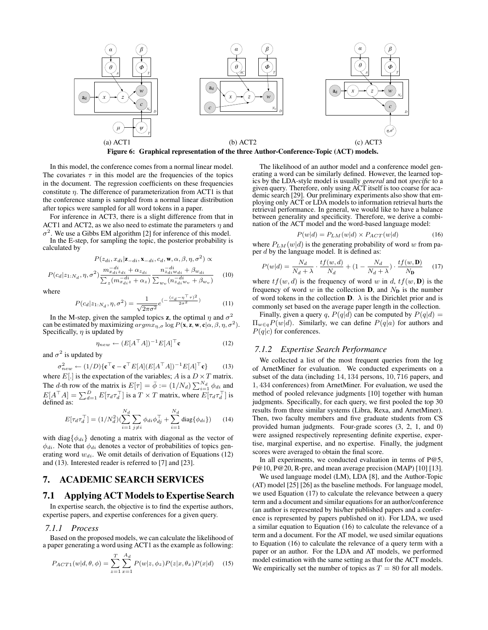

In this model, the conference comes from a normal linear model. The covariates  $\tau$  in this model are the frequencies of the topics in the document. The regression coefficients on these frequencies constitute  $\eta$ . The difference of parameterization from ACT1 is that the conference stamp is sampled from a normal linear distribution after topics were sampled for all word tokens in a paper.

For inference in ACT3, there is a slight difference from that in ACT1 and ACT2, as we also need to estimate the parameters  $n$  and  $\sigma^2$ . We use a Gibbs EM algorithm [2] for inference of this model.

In the E-step, for sampling the topic, the posterior probability is calculated by

$$
P(z_{di}, x_{di} | \mathbf{z}_{-di}, \mathbf{x}_{-di}, c_d, \mathbf{w}, \alpha, \beta, \eta, \sigma^2) \propto
$$
  

$$
P(c_d | z_{1:N_d}, \eta, \sigma^2) \frac{m_{xdi}^{-di} z_{di} + \alpha_{z_{di}}}{\sum_z (m_{xdi}^{-di} z + \alpha_z) \sum_{w_v} (n_{z_{di}}^{-di} w_v + \beta_{w_v})}
$$
 (10)

where

$$
P(c_d|z_{1:N_d}, \eta, \sigma^2) = \frac{1}{\sqrt{2\pi\sigma^2}} e^{-\frac{(c_d - \eta^{\top}\tau)^2}{2\sigma^2}})
$$
(11)

In the M-step, given the sampled topics **z**, the optimal  $\eta$  and  $\sigma^2$ can be estimated by maximizing  $argmx_{\eta,\sigma}$  log  $P(\mathbf{x}, \mathbf{z}, \mathbf{w}, \mathbf{c} | \alpha, \beta, \eta, \sigma^2)$ . Specifically,  $\eta$  is updated by

$$
\eta_{new} \leftarrow (E[A^\top A])^{-1} E[A]^\top \mathbf{c}
$$
 (12)

and  $\sigma^2$  is updated by

σ

$$
{}_{new}^{2} \leftarrow (1/D)\{\mathbf{c}^{\top}\mathbf{c} - \mathbf{c}^{\top}E[A](E[A^{\top}A])^{-1}E[A]^{\top}\mathbf{c}\}\tag{13}
$$

where  $E[.]$  is the expectation of the variables; A is a  $D \times T$  matrix. The d-th row of the matrix is  $E[\tau] = \bar{\phi} := (1/N_d) \sum_{i=1}^{N_d} \phi_{di}$  and The a-th low of the matrix is  $E[i] = \varphi := (1/xd) \sum_{i=1}^{\infty} \varphi_{di}$  and<br>  $E[A^{\top}A] = \sum_{d=1}^{\infty} E[\tau_d \tau_d^{\top}]$  is a  $T \times T$  matrix, where  $E[\tau_d \tau_d^{\top}]$  is defined as:

$$
E[\tau_d \tau_d^{\top}] = (1/N_d^2)(\sum_{i=1}^{N_d} \sum_{j \neq i} \phi_{di} \phi_{dj}^{\top} + \sum_{i=1}^{N_d} \text{diag}\{\phi_{di}\}) \qquad (14)
$$

with diag $\{\phi_{di}\}\$  denoting a matrix with diagonal as the vector of  $\phi_{di}$ . Note that  $\phi_{di}$  denotes a vector of probabilities of topics generating word  $w_{di}$ . We omit details of derivation of Equations (12) and (13). Interested reader is referred to [7] and [23].

# 7. ACADEMIC SEARCH SERVICES

#### 7.1 Applying ACT Models to Expertise Search

In expertise search, the objective is to find the expertise authors, expertise papers, and expertise conferences for a given query.

#### *7.1.1 Process*

Based on the proposed models, we can calculate the likelihood of a paper generating a word using ACT1 as the example as following:

$$
P_{ACT1}(w|d, \theta, \phi) = \sum_{z=1}^{T} \sum_{x=1}^{A_d} P(w|z, \phi_z) P(z|x, \theta_x) P(x|d) \tag{15}
$$

The likelihood of an author model and a conference model generating a word can be similarly defined. However, the learned topics by the LDA-style model is usually *general* and not *specific* to a given query. Therefore, only using ACT itself is too coarse for academic search [29]. Our preliminary experiments also show that employing only ACT or LDA models to information retrieval hurts the retrieval performance. In general, we would like to have a balance between generality and specificity. Therefore, we derive a combination of the ACT model and the word-based language model:

$$
P(w|d) = P_{LM}(w|d) \times P_{ACT}(w|d)
$$
\n(16)

where  $P_{LM}(w|d)$  is the generating probability of word w from paper d by the language model. It is defined as:

$$
P(w|d) = \frac{N_d}{N_d + \lambda} \cdot \frac{tf(w, d)}{N_d} + (1 - \frac{N_d}{N_d + \lambda}) \cdot \frac{tf(w, \mathbf{D})}{N_{\mathbf{D}}} \tag{17}
$$

where  $tf(w, d)$  is the frequency of word w in d,  $tf(w, D)$  is the frequency of word w in the collection **D**, and  $N_{\text{D}}$  is the number of word tokens in the collection **D**.  $\lambda$  is the Dirichlet prior and is commonly set based on the average paper length in the collection.

Finally, given a query q,  $P(q|d)$  can be computed by  $P(q|d)$  =  $\Pi_{w \in q}P(w|d)$ . Similarly, we can define  $P(q|a)$  for authors and  $P(q|c)$  for conferences.

#### *7.1.2 Expertise Search Performance*

We collected a list of the most frequent queries from the log of ArnetMiner for evaluation. We conducted experiments on a subset of the data (including 14, 134 persons, 10, 716 papers, and 1, 434 conferences) from ArnetMiner. For evaluation, we used the method of pooled relevance judgments [10] together with human judgments. Specifically, for each query, we first pooled the top 30 results from three similar systems (Libra, Rexa, and ArnetMiner). Then, two faculty members and five graduate students from CS provided human judgments. Four-grade scores (3, 2, 1, and 0) were assigned respectively representing definite expertise, expertise, marginal expertise, and no expertise. Finally, the judgment scores were averaged to obtain the final score.

In all experiments, we conducted evaluation in terms of P@5, P@10, P@20, R-pre, and mean average precision (MAP) [10] [13].

We used language model (LM), LDA [8], and the Author-Topic (AT) model [25] [26] as the baseline methods. For language model, we used Equation (17) to calculate the relevance between a query term and a document and similar equations for an author/conference (an author is represented by his/her published papers and a conference is represented by papers published on it). For LDA, we used a similar equation to Equation (16) to calculate the relevance of a term and a document. For the AT model, we used similar equations to Equation (16) to calculate the relevance of a query term with a paper or an author. For the LDA and AT models, we performed model estimation with the same setting as that for the ACT models. We empirically set the number of topics as  $T = 80$  for all models.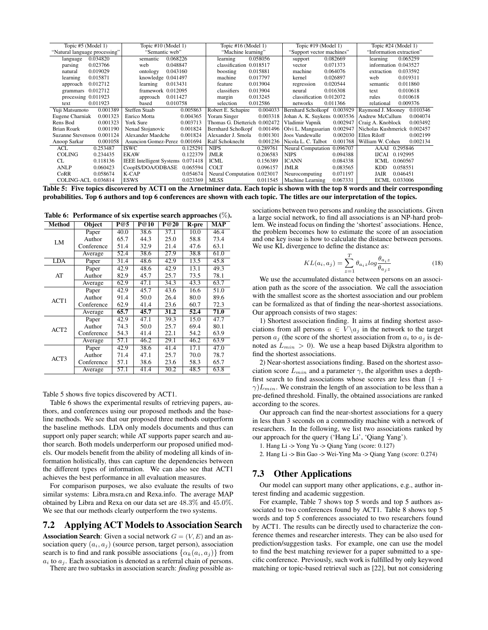| Topic #5 (Model 1)                   |                   | Topic #10 (Model 1)               | Topic #16 (Model 1)           |          | Topic #19 (Model 1)          |          | Topic #24 (Model 1)          |          |
|--------------------------------------|-------------------|-----------------------------------|-------------------------------|----------|------------------------------|----------|------------------------------|----------|
| "Natural language processing"        |                   | "Semantic web"                    | "Machine learning"            |          | "Support vector machines"    |          | "Information extraction"     |          |
| 0.034820<br>language                 | semantic          | 0.068226                          | learning                      | 0.058056 | support                      | 0.082669 | learning                     | 0.065259 |
| 0.023766<br>parsing                  | web               | 0.048847                          | classification 0.018517       |          | vector                       | 0.071373 | information 0.043527         |          |
| 0.019029<br>natural                  | ontology          | 0.043160                          | boosting                      | 0.015881 | machine                      | 0.064076 | extraction                   | 0.033592 |
| 0.015871<br>learning                 |                   | knowledge 0.041497                | machine                       | 0.017797 | kernel                       | 0.026897 | web                          | 0.019311 |
| 0.012712<br>approach                 | learning          | 0.013431                          | feature                       | 0.013904 | regression                   | 0.020544 | semantic                     | 0.011860 |
| 0.012712<br>grammars                 |                   | framework 0.012095                | classifiers                   | 0.013904 | neural                       | 0.016308 | text                         | 0.010618 |
| processing 0.011923                  | approach          | 0.011427                          | margin                        | 0.013245 | classification               | 0.012072 | rules                        | 0.010618 |
| 0.011923<br>text                     | based             | 0.010758                          | selection                     | 0.012586 | networks                     | 0.011366 | relational                   | 0.009376 |
| Yuji Matsumoto<br>0.001389           | Steffen Staab     | 0.005863                          | Robert E. Schapire            | 0.004033 | Bernhard Scholkopf 0.003929  |          | Raymond J. Mooney            | 0.010346 |
| 0.001323<br>Eugene Charniak          | Enrico Motta      | 0.004365                          | Yoram Singer                  | 0.003318 | Johan A. K. Suykens 0.003536 |          | <b>Andrew McCallum</b>       | 0.004074 |
| Rens Bod<br>0.001323                 | York Sure         | 0.003713                          | Thomas G. Dietterich 0.002472 |          | Vladimir Vapnik              | 0.002947 | Craig A. Knoblock            | 0.003492 |
| 0.001190<br><b>Brian Roark</b>       | Nenad Stojanovic  | 0.001824                          | <b>Bernhard Scholkopf</b>     | 0.001496 | Olvi L. Mangasarian 0.002947 |          | Nicholas Kushmerick 0.002457 |          |
| 0.001124<br><b>Suzanne Stevenson</b> | Alexander Maedche | 0.001824                          | Alexander J. Smola            | 0.001301 | Joos Vandewalle              | 0.002030 | Ellen Riloff                 | 0.002199 |
| 0.001058<br>Anoop Sarkar             |                   | Asuncion Gomez-Perez 0.001694     | Ralf Schoknecht               | 0.001236 | Nicola L. C. Talbot          | 0.001768 | William W. Cohen             | 0.002134 |
| 0.253487<br><b>ACL</b>               | <b>ISWC</b>       | 0.125291                          | <b>NIPS</b>                   | 0.289761 | Neural Computation 0.096707  |          | AAAI 0.295846                |          |
| <b>COLING</b><br>0.234435            | <b>EKAW</b>       | 0.122379                          | JMLR                          | 0.206583 | <b>NIPS</b>                  | 0.094388 | <b>IJCAI</b>                 | 0.192995 |
| 0.118136<br>CL                       |                   | IEEE Intelligent Systems 0.071418 | <b>ICML</b>                   | 0.156389 | <b>ICANN</b>                 | 0.084338 | ICML                         | 0.060567 |
| <b>ANLP</b><br>0.060423              | CoopIS/DOA/ODBASE | 0.065594                          | <b>COLT</b>                   | 0.096157 | <b>JMLR</b>                  | 0.083565 | <b>KDD</b>                   | 0.058551 |
| CoRR<br>0.058674                     | K-CAP             | 0.054674                          | <b>Neural Computation</b>     | 0.023017 | Neurocomputing               | 0.071197 | JAIR                         | 0.046451 |
| <b>COLING-ACL 0.036814</b>           | <b>ESWS</b>       | 0.023369                          | <b>MLSS</b>                   | 0.011545 | Machine Learning             | 0.067331 | ECML 0.033006                |          |

Table 5: Five topics discovered by ACT1 on the Arnetminer data. Each topic is shown with the top 8 words and their corresponding probabilities. Top 6 authors and top 6 conferences are shown with each topic. The titles are our interpretation of the topics.

|  |  |  | Table 6: Performance of six expertise search approaches $(\%)$ . |  |  |
|--|--|--|------------------------------------------------------------------|--|--|
|--|--|--|------------------------------------------------------------------|--|--|

| <b>Method</b>    | Object     | P@5  | P@10 | P@20 | R-pre | <b>MAP</b> |
|------------------|------------|------|------|------|-------|------------|
|                  | Paper      | 40.0 | 38.6 | 37.1 | 10.0  | 46.4       |
| LM               | Author     | 65.7 | 44.3 | 25.0 | 58.8  | 73.4       |
|                  | Conference | 51.4 | 32.9 | 21.4 | 47.6  | 63.1       |
|                  | Average    | 52.4 | 38.6 | 27.9 | 38.8  | 61.0       |
| <b>LDA</b>       | Paper      | 31.4 | 48.6 | 42.9 | 13.5  | 45.8       |
|                  | Paper      | 42.9 | 48.6 | 42.9 | 13.1  | 49.3       |
| AT               | Author     | 82.9 | 45.7 | 25.7 | 73.5  | 78.1       |
|                  | Average    | 62.9 | 47.1 | 34.3 | 43.3  | 63.7       |
|                  | Paper      | 42.9 | 45.7 | 43.6 | 16.6  | 51.0       |
| ACT1             | Author     | 91.4 | 50.0 | 26.4 | 80.0  | 89.6       |
|                  | Conference | 62.9 | 41.4 | 23.6 | 60.7  | 72.3       |
|                  | Average    | 65.7 | 45.7 | 31.2 | 52.4  | 71.0       |
|                  | Paper      | 42.9 | 47.1 | 39.3 | 15.0  | 47.7       |
| ACT <sub>2</sub> | Author     | 74.3 | 50.0 | 25.7 | 69.4  | 80.1       |
|                  | Conference | 54.3 | 41.4 | 22.1 | 54.2  | 63.9       |
|                  | Average    | 57.1 | 46.2 | 29.1 | 46.2  | 63.9       |
| ACT3             | Paper      | 42.9 | 38.6 | 41.4 | 17.1  | 47.0       |
|                  | Author     | 71.4 | 47.1 | 25.7 | 70.0  | 78.7       |
|                  | Conference | 57.1 | 38.6 | 23.6 | 58.3  | 65.7       |
|                  | Average    | 57.1 | 41.4 | 30.2 | 48.5  | 63.8       |

Table 5 shows five topics discovered by ACT1.

Table 6 shows the experimental results of retrieving papers, authors, and conferences using our proposed methods and the baseline methods. We see that our proposed three methods outperform the baseline methods. LDA only models documents and thus can support only paper search; while AT supports paper search and author search. Both models underperform our proposed unified models. Our models benefit from the ability of modeling all kinds of information holistically, thus can capture the dependencies between the different types of information. We can also see that ACT1 achieves the best performance in all evaluation measures.

For comparison purposes, we also evaluate the results of two similar systems: Libra.msra.cn and Rexa.info. The average MAP obtained by Libra and Rexa on our data set are 48.3% and 45.0%. We see that our methods clearly outperform the two systems.

#### 7.2 Applying ACT Models to Association Search

**Association Search:** Given a social network  $G = (V, E)$  and an association query  $(a_i, a_j)$  (source person, target person), association search is to find and rank possible associations  $\{\alpha_k(a_i, a_j)\}\$  from  $a_i$  to  $a_j$ . Each association is denoted as a referral chain of persons.

There are two subtasks in association search: *finding* possible as-

sociations between two persons and *ranking* the associations. Given a large social network, to find all associations is an NP-hard problem. We instead focus on finding the 'shortest' associations. Hence, the problem becomes how to estimate the score of an association and one key issue is how to calculate the distance between persons. We use KL divergence to define the distance as:

$$
KL(a_i, a_j) = \sum_{z=1}^{T} \theta_{a_i z} log \frac{\theta_{a_i z}}{\theta_{a_j z}}
$$
(18)

We use the accumulated distance between persons on an association path as the score of the association. We call the association with the smallest score as the shortest association and our problem can be formalized as that of finding the near-shortest associations. Our approach consists of two stages:

1) Shortest association finding. It aims at finding shortest associations from all persons  $a \in V \backslash a_i$  in the network to the target person  $a_i$  (the score of the shortest association from  $a_i$  to  $a_j$  is denoted as  $L_{min} > 0$ ). We use a heap based Dijkstra algorithm to find the shortest associations.

2) Near-shortest associations finding. Based on the shortest association score  $L_{min}$  and a parameter  $\gamma$ , the algorithm uses a depthfirst search to find associations whose scores are less than  $(1 +$  $\gamma$ ) $L_{min}$ . We constrain the length of an association to be less than a pre-defined threshold. Finally, the obtained associations are ranked according to the scores.

Our approach can find the near-shortest associations for a query in less than 3 seconds on a commodity machine with a network of researchers. In the following, we list two associations ranked by our approach for the query ('Hang Li', 'Qiang Yang').

- 1. Hang Li -> Yong Yu -> Qiang Yang (score: 0.127)
- 2. Hang Li -> Bin Gao -> Wei-Ying Ma -> Qiang Yang (score: 0.274)

#### 7.3 Other Applications

Our model can support many other applications, e.g., author interest finding and academic suggestion.

For example, Table 7 shows top 5 words and top 5 authors associated to two conferences found by ACT1. Table 8 shows top 5 words and top 5 conferences associated to two researchers found by ACT1. The results can be directly used to characterize the conference themes and researcher interests. They can be also used for prediction/suggestion tasks. For example, one can use the model to find the best matching reviewer for a paper submitted to a specific conference. Previously, such work is fulfilled by only keyword matching or topic-based retrieval such as [22], but not considering